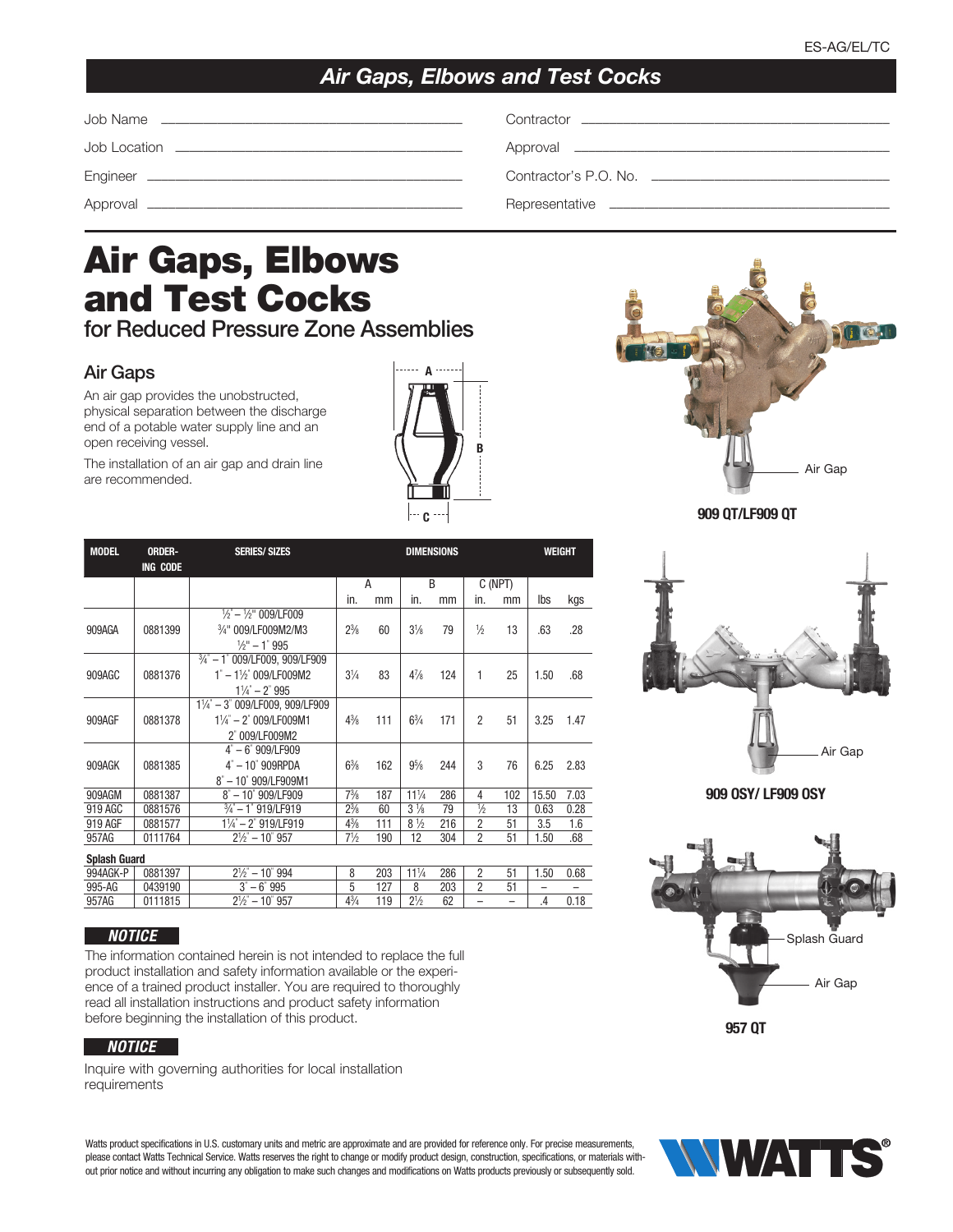## *Air Gaps, Elbows and Test Cocks*

| Contractor's P.O. No. $\qquad \qquad$ |
|---------------------------------------|
|                                       |

# Air Gaps, Elbows and Test Cocks

for Reduced Pressure Zone Assemblies

#### Air Gaps

An air gap provides the unobstructed, physical separation between the discharge end of a potable water supply line and an open receiving vessel.

The installation of an air gap and drain line are recommended.

| A |   |
|---|---|
|   |   |
|   |   |
|   | B |
|   |   |
|   |   |
| C |   |



**909 QT/LF909 QT**



**909 OSY/ LF909 OSY**



**957 QT**



#### *NOTICE*

The information contained herein is not intended to replace the full product installation and safety information available or the experience of a trained product installer. You are required to thoroughly read all installation instructions and product safety information before beginning the installation of this product.

#### *NOTICE*

Inquire with governing authorities for local installation requirements

Watts product specifications in U.S. customary units and metric are approximate and are provided for reference only. For precise measurements, please contact Watts Technical Service. Watts reserves the right to change or modify product design, construction, specifications, or materials without prior notice and without incurring any obligation to make such changes and modifications on Watts products previously or subsequently sold.